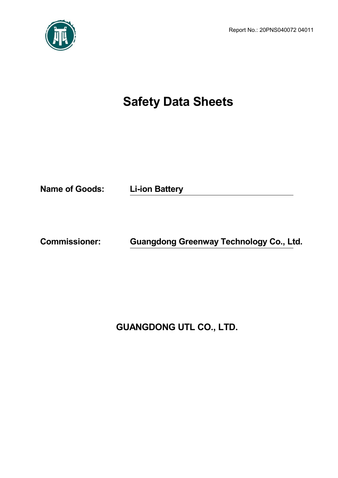Report No.: 20PNS040072 04011



# **Safety Data Sheets**

**Name of Goods: Li-ion Battery**

**Commissioner: Guangdong Greenway Technology Co., Ltd.**

**GUANGDONG UTL CO., LTD.**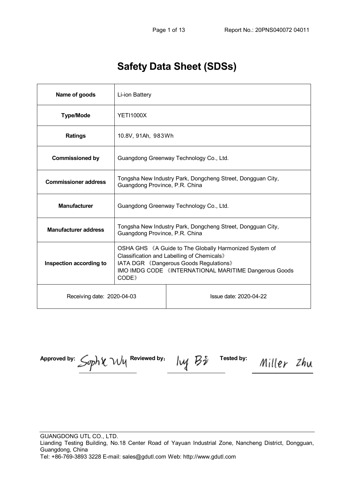# **Safety Data Sheet (SDSs)**

| Name of goods               | Li-ion Battery                                                                                                                                                                                                         |                        |  |  |  |
|-----------------------------|------------------------------------------------------------------------------------------------------------------------------------------------------------------------------------------------------------------------|------------------------|--|--|--|
| <b>Type/Mode</b>            | <b>YETI1000X</b>                                                                                                                                                                                                       |                        |  |  |  |
| <b>Ratings</b>              | 10.8V, 91Ah, 983Wh                                                                                                                                                                                                     |                        |  |  |  |
| <b>Commissioned by</b>      | Guangdong Greenway Technology Co., Ltd.                                                                                                                                                                                |                        |  |  |  |
| <b>Commissioner address</b> | Tongsha New Industry Park, Dongcheng Street, Dongguan City,<br>Guangdong Province, P.R. China                                                                                                                          |                        |  |  |  |
| <b>Manufacturer</b>         | Guangdong Greenway Technology Co., Ltd.                                                                                                                                                                                |                        |  |  |  |
| <b>Manufacturer address</b> | Tongsha New Industry Park, Dongcheng Street, Dongguan City,<br>Guangdong Province, P.R. China                                                                                                                          |                        |  |  |  |
| Inspection according to     | OSHA GHS 《A Guide to The Globally Harmonized System of<br>Classification and Labelling of Chemicals»<br>IATA DGR 《Dangerous Goods Regulations》<br>IMO IMDG CODE 《INTERNATIONAL MARITIME Dangerous Goods<br><b>CODE</b> |                        |  |  |  |
| Receiving date: 2020-04-03  |                                                                                                                                                                                                                        | Issue date: 2020-04-22 |  |  |  |

Approved by:  $\mathcal{L}_{m}$   $\mathcal{N}_{\mathcal{U}}$   $\mathcal{L}_{\mathcal{U}}$  Reviewed by:  $\mathcal{L}_{\mathcal{U}}$   $\mathcal{L}_{\mathcal{U}}$   $\mathcal{L}_{\mathcal{U}}$  Tested by: Miller Zhu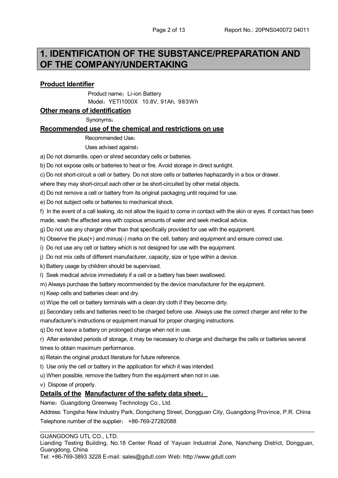### **1. IDENTIFICATION OF THE SUBSTANCE/PREPARATION AND OF THE COMPANY/UNDERTAKING**

#### **Product Identifier**

**Product name: Li-ion Battery** Model:YETI1000X 10.8V, 91Ah, 983Wh

#### **Other means of identification**

Synonyms:

#### **Recommended use of the chemical and restrictions on use**

Recommended Use:

Uses advised against:

a) Do not dismantle, open or shred secondary cells or batteries.

b) Do not expose cells or batteries to heat or fire. Avoid storage in direct sunlight.

c) Do not short-circuit a cell or battery. Do not store cells or batteries haphazardly in a box or drawer.

where they may short-circuit each other or be short-circuited by other metal objects.

d) Do not remove a cell or battery from its original packaging until required for use.

e) Do not subject cells or batteries to mechanical shock.

f) In the event of a call leaking, do not allow the liquid to come in contact with the skin or eyes. If contact has been made, wash the affected ares with copious amounts of water and seek medical advice.

g) Do not use any charger other than that specifically provided for use with the equipment.

h) Observe the plus(+) and minus(-) marks on the cell, battery and equipment and ensure correct use.

i) Do not use any cell or battery which is not designed for use with the equipment.

j) Do not mix cells of different manufacturer, capacity, size or type within a device.

k) Battery usage by children should be supervised.

l) Seek medical advice immediately if a cell or a battery has been swallowed.

m) Always purchase the battery recommended by the device manufacturer for the equipment.

n) Keep cells and batteries clean and dry.

o) Wipe the cell or battery terminals with a clean dry cloth if they become dirty.

p) Secondary cells and batteries need to be charged before use. Always use the correct charger and refer to the manufacturer's instructions or equipment manual for proper charging instructions.

q) Do not leave a battery on prolonged charge when not in use.

r) After extended periods of storage, it may be necessary to charge and discharge the cells or batteries several times to obtain maximum performance.

s) Retain the original product literature for future reference.

t) Use only the cell or battery in the application for which it was intended.

u) When possible, remove the battery from the equipment when not in use.

v) Dispose of properly.

#### **Details of the Manufacturer of the safety data sheet**:

Name: Guangdong Greenway Technology Co., Ltd.

Address: Tongsha New Industry Park, Dongcheng Street, Dongguan City, Guangdong Province, P.R. China Telephone number of the supplier: +86-769-27282088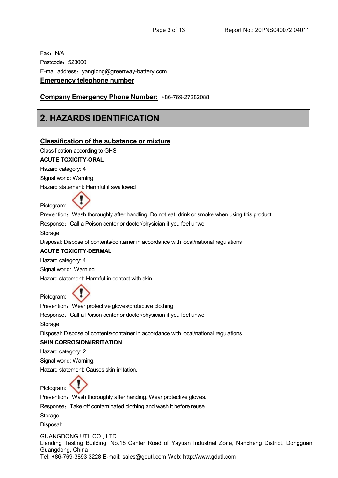Fax: N/A Postcode:523000 E-mail address: yanglong@greenway-battery.com **Emergency telephone number**

#### **Company Emergency Phone Number:** +86-769-27282088

### **2. HAZARDS IDENTIFICATION**

#### **Classification of the substance or mixture**

Classification according to GHS

#### **ACUTE TOXICITY-ORAL**

Hazard category: 4

Signal world: Warning

Hazard statement: Harmful if swallowed

Pictogram:

Prevention: Wash thoroughly after handling. Do not eat, drink or smoke when using this product.

Response: Call a Poison center or doctor/physician if you feel unwel

Storage:

Disposal: Dispose of contents/container in accordance with local/national regulations

#### **ACUTE TOXICITY-DERMAL**

Hazard category: 4

Signal world: Warning.

Hazard statement: Harmful in contact with skin

Pictogram:

Prevention: Wear protective gloves/protective clothing

Response: Call a Poison center or doctor/physician if you feel unwel

Storage:

Disposal: Dispose of contents/container in accordance with local/national regulations

#### **SKIN CORROSION/IRRITATION**

Hazard category: 2

Signal world: Warning.

Hazard statement: Causes skin irritation.

Pictogram:

Prevention: Wash thoroughly after handing. Wear protective gloves.

Response: Take off contaminated clothing and wash it before reuse.

Storage:

Disposal: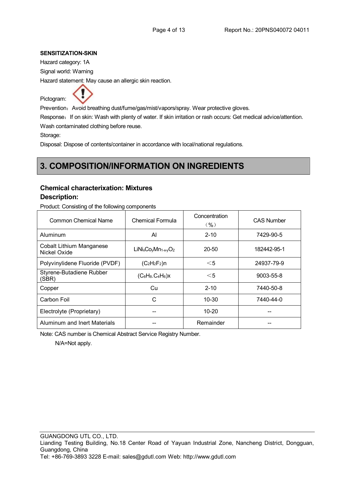#### **SENSITIZATION-SKIN**

Hazard category: 1A

Signal world: Warning

Hazard statement: May cause an allergic skin reaction.



Prevention: Avoid breathing dust/fume/gas/mist/vapors/spray. Wear protective gloves.

Response: If on skin: Wash with plenty of water. If skin irritation or rash occurs: Get medical advice/attention. Wash contaminated clothing before reuse.

Storage:

Disposal: Dispose of contents/container in accordance with local/national regulations.

### **3. COMPOSITION/INFORMATION ON INGREDIENTS**

#### **Chemical characterixation: Mixtures**

#### **Description:**

Product: Consisting of the following components

| Common Chemical Name                            | Chemical Formula        | Concentration<br>(96) | <b>CAS Number</b> |  |
|-------------------------------------------------|-------------------------|-----------------------|-------------------|--|
| Aluminum                                        | Al                      | $2 - 10$              | 7429-90-5         |  |
| <b>Cobalt Lithium Manganese</b><br>Nickel Oxide | $LiNixCovMn1-xvO2$      | 20-50                 | 182442-95-1       |  |
| Polyvinylidene Fluoride (PVDF)                  | $(C_2H_2F_2)n$<br>$<$ 5 |                       | 24937-79-9        |  |
| Styrene-Butadiene Rubber<br>(SBR)               | $(C_8H_8.C_4H_6)x$      | $<$ 5                 | 9003-55-8         |  |
| Copper                                          | Cu                      | $2 - 10$              | 7440-50-8         |  |
| Carbon Foil                                     | C                       | $10 - 30$             | 7440-44-0         |  |
| Electrolyte (Proprietary)                       |                         | $10 - 20$             |                   |  |
| Aluminum and Inert Materials                    |                         | Remainder             |                   |  |

Note: CAS number is Chemical Abstract Service Registry Number.

N/A=Not apply.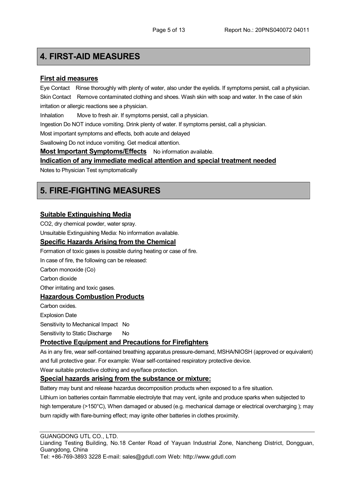### **4. FIRST-AID MEASURES**

#### **First aid measures**

Eye Contact Rinse thoroughly with plenty of water, also under the eyelids. If symptoms persist, call a physician. Skin Contact Remove contaminated clothing and shoes. Wash skin with soap and water. In the case of skin irritation or allergic reactions see a physician.

Inhalation Move to fresh air. If symptoms persist, call a physician.

Ingestion Do NOT induce vomiting. Drink plenty of water. If symptoms persist, call a physician.

Most important symptoms and effects, both acute and delayed

Swallowing Do not induce vomiting. Get medical attention.

**Most Important Symptoms/Effects** No information available.

#### **Indication of any immediate medical attention and special treatment needed**

Notes to Physician Test symptomatically

### **5. FIRE-FIGHTING MEASURES**

#### **Suitable Extinguishing Media**

CO2, dry chemical powder, water spray.

Unsuitable Extinguishing Media: No information available.

#### **Specific Hazards Arising from the Chemical**

Formation of toxic gases is possible during heating or case of fire.

In case of fire, the following can be released:

Carbon monoxide (Co)

Carbon dioxide

Other irritating and toxic gases.

#### **Hazardous Combustion Products**

Carbon oxides. Explosion Date

Sensitivity to Mechanical Impact No

Sensitivity to Static Discharge No

#### **Protective Equipment and Precautions for Firefighters**

As in any fire, wear self-contained breathing apparatus pressure-demand, MSHA/NIOSH (approved or equivalent) and full protective gear. For example: Wear self-contained respiratory protective device.

Wear suitable protective clothing and eye/face protection.

#### **Special hazards arising from the substance or mixture:**

Battery may burst and release hazardus decomposition products when exposed to a fire situation.

Lithium ion batteries contain flammable electrolyte that may vent, ignite and produce sparks when subjected to high temperature (>150°C), When damaged or abused (e.g. mechanical damage or electrical overcharging ); may burn rapidly with flare-burning effect; may ignite other batteries in clothes proximity.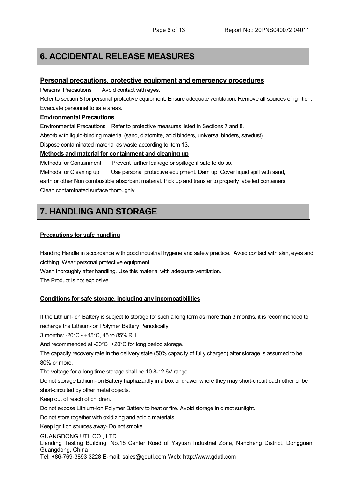### **6. ACCIDENTAL RELEASE MEASURES**

#### **Personal precautions, protective equipment and emergency procedures**

Personal Precautions Avoid contact with eyes.

Refer to section 8 for personal protective equipment. Ensure adequate ventilation. Remove all sources of ignition. Evacuate personnel to safe areas.

#### **Environmental Precautions**

Environmental Precautions Refer to protective measures listed in Sections 7 and 8. Absorb with liquid-binding material (sand, diatomite, acid binders, universal binders, sawdust). Dispose contaminated material as waste according to item 13.

#### **Methods and material for containment and cleaning up**

Methods for Containment Prevent further leakage or spillage if safe to do so.

Methods for Cleaning up Use personal protective equipment. Dam up. Cover liquid spill with sand, earth or other Non combustible absorbent material. Pick up and transfer to properly labelled containers. Clean contaminated surface thoroughly.

### **7. HANDLING AND STORAGE**

#### **Precautions for safe handling**

Handing Handle in accordance with good industrial hygiene and safety practice. Avoid contact with skin, eyes and clothing. Wear personal protective equipment.

Wash thoroughly after handling. Use this material with adequate ventilation.

The Product is not explosive.

#### **Conditions for safe storage, including any incompatibilities**

If the Lithium-ion Battery is subject to storage for such a long term as more than 3 months, it is recommended to recharge the Lithium-ion Polymer Battery Periodically.

3 months: -20°C~ +45°C, 45 to 85% RH

And recommended at -20°C~+20°C for long period storage.

The capacity recovery rate in the delivery state (50% capacity of fully charged) after storage is assumed to be 80% or more.

The voltage for a long time storage shall be 10.8-12.6V range.

Do not storage Lithium-ion Battery haphazardly in a box or drawer where they may short-circuit each other or be short-circuited by other metal objects.

Keep out of reach of children.

Do not expose Lithium-ion Polymer Battery to heat or fire. Avoid storage in direct sunlight.

Do not store together with oxidizing and acidic materials.

Keep ignition sources away- Do not smoke.

GUANGDONG UTL CO., LTD. Lianding Testing Building, No.18 Center Road of Yayuan Industrial Zone, Nancheng District, Dongguan, Guangdong, China

Tel: +86-769-3893 3228 E-mail: sales@gdutl.com Web: http://www.gdutl.com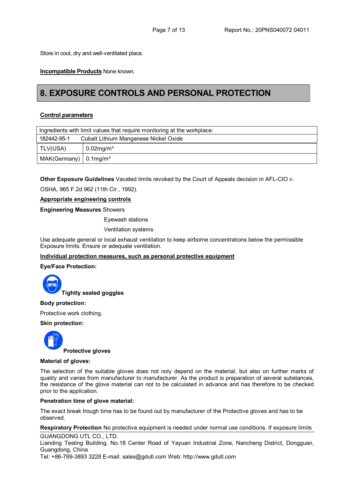Store in cool, dry and well-ventilated place.

**Incompatible Products** None known.

### **8. EXPOSURE CONTROLS AND PERSONAL PROTECTION**

#### **Control parameters**

| Ingredients with limit values that require monitoring at the workplace: |                                       |  |  |
|-------------------------------------------------------------------------|---------------------------------------|--|--|
| 182442-95-1                                                             | Cobalt Lithium Manganese Nickel Oxide |  |  |
| TLV(USA)                                                                | $0.02$ mg/m <sup>3</sup>              |  |  |
| $MAK(Germany)$ 0.1mg/m <sup>3</sup>                                     |                                       |  |  |

**Other Exposure Guidelines** Vacated limits revoked by the Court of Appeals decision in AFL-CIO v.

OSHA, 965 F.2d 962 (11th Cir., 1992).

#### **Appropriate engineering controls**

#### **Engineering Measures** Showers

Eyewash stations

Ventilation systems

Use adequate general or local exhaust ventilation to keep airborne concentrations below the permissible Exposure limits. Ensure or adequate ventilation.

#### **Individual protection measures, such as personal protective equipment**

#### **Eye/Face Protection:**



**Tightly sealed goggles**

#### **Body protection:**

Protective work clothing.

#### **Skin protection:**



#### **Material of gloves:**

The selection of the suitable gloves does not noly depend on the material, but also on further marks of quality and varies from manufacturer to manufacturer. As the product is preparation of several substances, the resistance of the glove material can not to be calculated in advance and has therefore to be checked prior to the application.

#### **Penetration time of glove material:**

The exact break trough time has to be found out by manufacturer of the Protective gloves and has to be observed.

#### **Respiratory Protection** No protective equipment is needed under normal use conditions. If exposure limits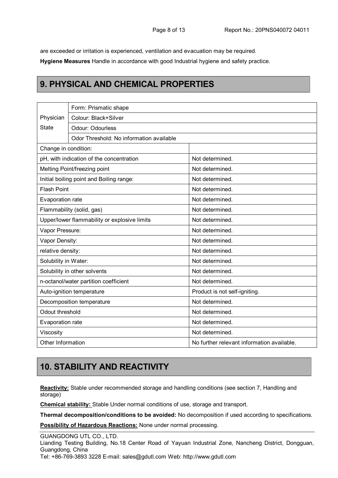are exceeded or irritation is experienced, ventilation and evacuation may be required.

**Hygiene Measures** Handle in accordance with good Industrial hygiene and safety practice.

### **9. PHYSICAL AND CHEMICAL PROPERTIES**

|                                              | Form: Prismatic shape                    |                                            |  |  |  |  |
|----------------------------------------------|------------------------------------------|--------------------------------------------|--|--|--|--|
| Physician                                    | Colour: Black+Silver                     |                                            |  |  |  |  |
| <b>State</b>                                 | Odour: Odourless                         |                                            |  |  |  |  |
|                                              | Odor Threshold: No information available |                                            |  |  |  |  |
| Change in condition:                         |                                          |                                            |  |  |  |  |
| pH, with indication of the concentration     |                                          | Not determined.                            |  |  |  |  |
| Melting Point/freezing point                 |                                          | Not determined.                            |  |  |  |  |
| Initial boiling point and Boiling range:     |                                          | Not determined.                            |  |  |  |  |
| <b>Flash Point</b>                           |                                          | Not determined.                            |  |  |  |  |
| Evaporation rate                             |                                          | Not determined.                            |  |  |  |  |
| Flammability (solid, gas)                    |                                          | Not determined.                            |  |  |  |  |
| Upper/lower flammability or explosive limits |                                          | Not determined.                            |  |  |  |  |
| Vapor Pressure:                              |                                          | Not determined.                            |  |  |  |  |
| Vapor Density:                               |                                          | Not determined.                            |  |  |  |  |
| relative density:                            |                                          | Not determined.                            |  |  |  |  |
| Solubility in Water:                         |                                          | Not determined.                            |  |  |  |  |
| Solubility in other solvents                 |                                          | Not determined.                            |  |  |  |  |
| n-octanol/water partition coefficient        |                                          | Not determined.                            |  |  |  |  |
| Auto-ignition temperature                    |                                          | Product is not self-igniting.              |  |  |  |  |
| Decomposition temperature                    |                                          | Not determined.                            |  |  |  |  |
| Odout threshold                              |                                          | Not determined.                            |  |  |  |  |
| Evaporation rate                             |                                          | Not determined.                            |  |  |  |  |
| Viscosity                                    |                                          | Not determined.                            |  |  |  |  |
| Other Information                            |                                          | No further relevant information available. |  |  |  |  |

### **10. STABILITY AND REACTIVITY**

**Reactivity:** Stable under recommended storage and handling conditions (see section 7, Handling and storage)

**Chemical stability:** Stable Under normal conditions of use, storage and transport.

**Thermal decomposition/conditions to be avoided:** No decomposition if used according to specifications.

**Possibility of Hazardous Reactions:** None under normal processing.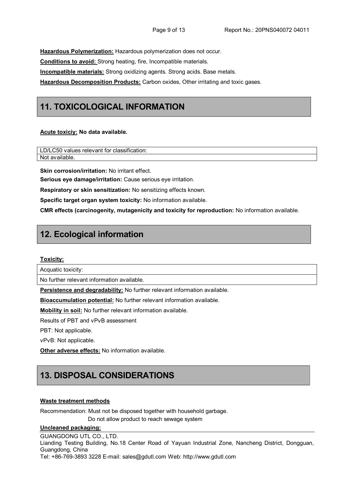**Hazardous Polymerization:** Hazardous polymerization does not occur.

**Conditions to avoid:** Strong heating, fire, Incompatible materials.

**Incompatible materials:** Strong oxidizing agents. Strong acids. Base metals.

**Hazardous Decomposition Products:** Carbon oxides, Other irritating and toxic gases.

### **11. TOXICOLOGICAL INFORMATION**

#### **Acute toxiciy: No data available.**

LD/LC50 values relevant for classification: Not available.

**Skin corrosion/irritation: No irritant effect.** 

**Serious eye damage/irritation:** Cause serious eye irritation.

**Respiratory or skin sensitization:** No sensitizing effects known.

**Specific target organ system toxicity:** No information available.

**CMR effects (carcinogenity, mutagenicity and toxicity for reproduction:** No information available.

### **12. Ecological information**

#### **Toxicity:**

Acquatic toxicity:

No further relevant information available.

**Persistence and degradability:** No further relevant information available.

**Bioaccumulation potential:** No further relevant information available.

**Mobility in soil:** No further relevant information available.

Results of PBT and vPvB assessment

PBT: Not applicable.

vPvB: Not applicable.

**Other adverse effects:** No information available.

### **13. DISPOSAL CONSIDERATIONS**

#### **Waste treatment methods**

Recommendation: Must not be disposed together with household garbage.

Do not allow product to reach sewage system

#### **Uncleaned packaging:**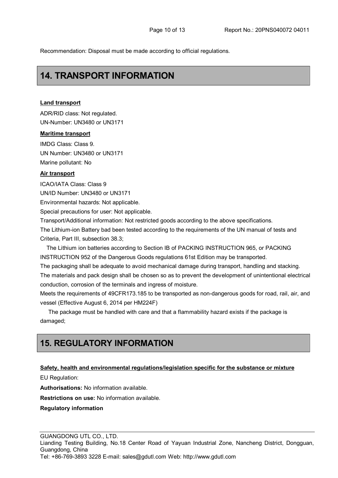Recommendation: Disposal must be made according to official regulations.

### **14. TRANSPORT INFORMATION**

#### **Land transport**

ADR/RID class: Not regulated. UN-Number: UN3480 or UN3171

#### **Maritime transport**

IMDG Class: Class 9. UN Number: UN3480 or UN3171 Marine pollutant: No

#### **Air transport**

ICAO/IATA Class: Class 9

UN/ID Number: UN3480 or UN3171

Environmental hazards: Not applicable.

Special precautions for user: Not applicable.

Transport/Additional information: Not restricted goods according to the above specifications.

The Lithium-ion Battery bad been tested according to the requirements of the UN manual of tests and Criteria, Part III, subsection 38.3;

The Lithium ion batteries according to Section IB of PACKING INSTRUCTION 965, or PACKING INSTRUCTION 952 of the Dangerous Goods regulations 61st Edition may be transported.

The packaging shall be adequate to avoid mechanical damage during transport, handling and stacking. The materials and pack design shall be chosen so as to prevent the development of unintentional electrical conduction, corrosion of the terminals and ingress of moisture.

Meets the requirements of 49CFR173.185 to be transported as non-dangerous goods for road, rail, air, and vessel (Effective August 6, 2014 per HM224F)

The package must be handled with care and that a flammability hazard exists if the package is damaged;

### **15. REGULATORY INFORMATION**

#### **Safety, health and environmental regulations/legislation specific for the substance or mixture**

EU Regulation:

**Authorisations:** No information available.

**Restrictions on use:** No information available.

#### **Regulatory information**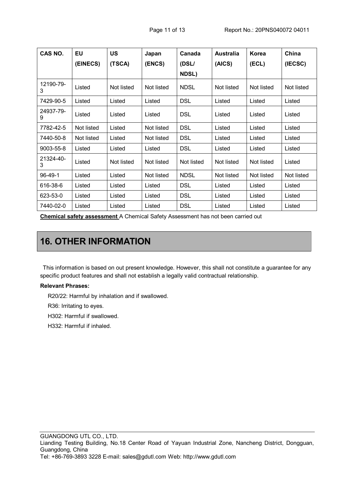| CAS NO.        | <b>EU</b>  | <b>US</b>  | Japan      | Canada       | <b>Australia</b> | Korea      | China      |
|----------------|------------|------------|------------|--------------|------------------|------------|------------|
|                | (EINECS)   | (TSCA)     | (ENCS)     | (DSL/        | (AICS)           | (ECL)      | (IECSC)    |
|                |            |            |            | <b>NDSL)</b> |                  |            |            |
| 12190-79-<br>3 | Listed     | Not listed | Not listed | <b>NDSL</b>  | Not listed       | Not listed | Not listed |
| 7429-90-5      | Listed     | Listed     | Listed     | <b>DSL</b>   | Listed           | Listed     | Listed     |
| 24937-79-<br>9 | Listed     | Listed     | Listed     | <b>DSL</b>   | Listed           | Listed     | Listed     |
| 7782-42-5      | Not listed | Listed     | Not listed | <b>DSL</b>   | Listed           | Listed     | Listed     |
| 7440-50-8      | Not listed | Listed     | Not listed | <b>DSL</b>   | Listed           | Listed     | Listed     |
| 9003-55-8      | Listed     | Listed     | Listed     | <b>DSL</b>   | Listed           | Listed     | Listed     |
| 21324-40-<br>3 | Listed     | Not listed | Not listed | Not listed   | Not listed       | Not listed | Listed     |
| 96-49-1        | Listed     | Listed     | Not listed | <b>NDSL</b>  | Not listed       | Not listed | Not listed |
| 616-38-6       | Listed     | Listed     | Listed     | <b>DSL</b>   | Listed           | Listed     | Listed     |
| 623-53-0       | Listed     | Listed     | Listed     | <b>DSL</b>   | Listed           | Listed     | Listed     |
| 7440-02-0      | Listed     | Listed     | Listed     | <b>DSL</b>   | Listed           | Listed     | Listed     |

**Chemical safety assessment** A Chemical Safety Assessment has not been carried out

## **16. OTHER INFORMATION**

This information is based on out present knowledge. However, this shall not constitute a guarantee for any specific product features and shall not establish a legally valid contractual relationship.

#### **Relevant Phrases:**

R20/22: Harmful by inhalation and if swallowed.

R36: Irritating to eyes.

H302: Harmful if swallowed.

H332: Harmful if inhaled.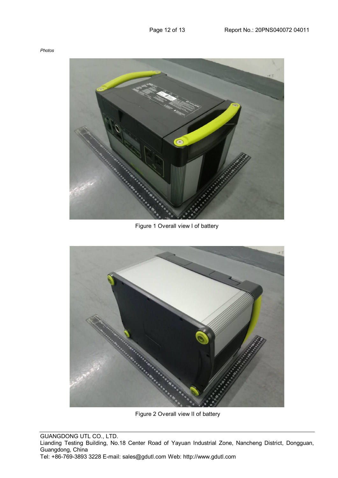Figure 1 Overall view I of battery



Figure 2 Overall view II of battery

GUANGDONG UTL CO., LTD. Lianding Testing Building, No.18 Center Road of Yayuan Industrial Zone, Nancheng District, Dongguan, Guangdong, China Tel: +86-769-3893 3228 E-mail: sales@gdutl.com Web: http://www.gdutl.com

#### *Photos*